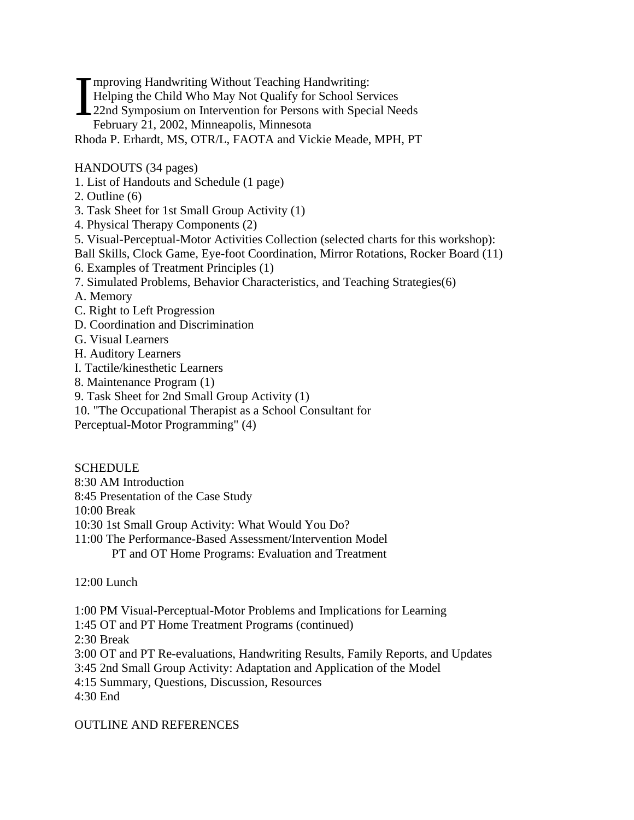**Terms** Handwriting Without Teaching Handwriting: Helping the Child Who May Not Qualify for School Services 22nd Symposium on Intervention for Persons with Special Needs February 21, 2002, Minneapolis, Minnesota Rhoda P. Erhardt, MS, OTR/L, FAOTA and Vickie Meade, MPH, PT I

## HANDOUTS (34 pages)

- 1. List of Handouts and Schedule (1 page)
- 2. Outline (6)
- 3. Task Sheet for 1st Small Group Activity (1)
- 4. Physical Therapy Components (2)
- 5. Visual-Perceptual-Motor Activities Collection (selected charts for this workshop):
- Ball Skills, Clock Game, Eye-foot Coordination, Mirror Rotations, Rocker Board (11)
- 6. Examples of Treatment Principles (1)
- 7. Simulated Problems, Behavior Characteristics, and Teaching Strategies(6)
- A. Memory
- C. Right to Left Progression
- D. Coordination and Discrimination
- G. Visual Learners
- H. Auditory Learners
- I. Tactile/kinesthetic Learners
- 8. Maintenance Program (1)
- 9. Task Sheet for 2nd Small Group Activity (1)
- 10. "The Occupational Therapist as a School Consultant for
- Perceptual-Motor Programming" (4)

**SCHEDULE** 8:30 AM Introduction 8:45 Presentation of the Case Study 10:00 Break 10:30 1st Small Group Activity: What Would You Do? 11:00 The Performance-Based Assessment/Intervention Model

PT and OT Home Programs: Evaluation and Treatment

12:00 Lunch

1:00 PM Visual-Perceptual-Motor Problems and Implications for Learning

1:45 OT and PT Home Treatment Programs (continued)

2:30 Break

3:00 OT and PT Re-evaluations, Handwriting Results, Family Reports, and Updates

3:45 2nd Small Group Activity: Adaptation and Application of the Model

4:15 Summary, Questions, Discussion, Resources

4:30 End

OUTLINE AND REFERENCES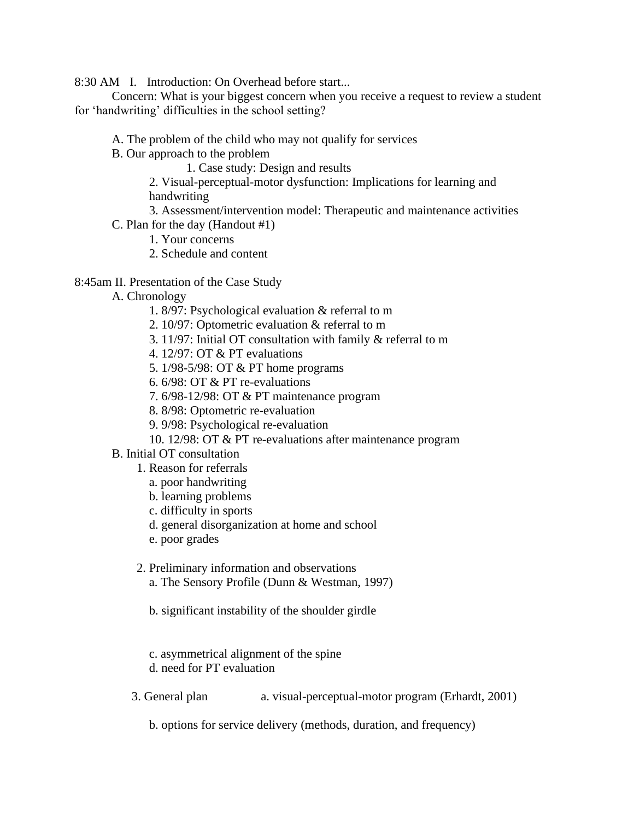8:30 AM I. Introduction: On Overhead before start...

Concern: What is your biggest concern when you receive a request to review a student for 'handwriting' difficulties in the school setting?

- A. The problem of the child who may not qualify for services
- B. Our approach to the problem

1. Case study: Design and results

 2. Visual-perceptual-motor dysfunction: Implications for learning and handwriting

- 3. Assessment/intervention model: Therapeutic and maintenance activities
- C. Plan for the day (Handout #1)
	- 1. Your concerns
	- 2. Schedule and content

## 8:45am II. Presentation of the Case Study

- A. Chronology
	- 1. 8/97: Psychological evaluation & referral to m
	- 2. 10/97: Optometric evaluation & referral to m
	- 3. 11/97: Initial OT consultation with family & referral to m
	- 4. 12/97: OT & PT evaluations
	- 5. 1/98-5/98: OT & PT home programs
	- 6. 6/98: OT & PT re-evaluations
	- 7. 6/98-12/98: OT & PT maintenance program
	- 8. 8/98: Optometric re-evaluation
	- 9. 9/98: Psychological re-evaluation
	- 10. 12/98: OT & PT re-evaluations after maintenance program
- B. Initial OT consultation
	- 1. Reason for referrals
		- a. poor handwriting
		- b. learning problems
		- c. difficulty in sports
		- d. general disorganization at home and school
		- e. poor grades
	- 2. Preliminary information and observations
		- a. The Sensory Profile (Dunn & Westman, 1997)
		- b. significant instability of the shoulder girdle
		- c. asymmetrical alignment of the spine
		- d. need for PT evaluation
	- 3. General plan a. visual-perceptual-motor program (Erhardt, 2001)

b. options for service delivery (methods, duration, and frequency)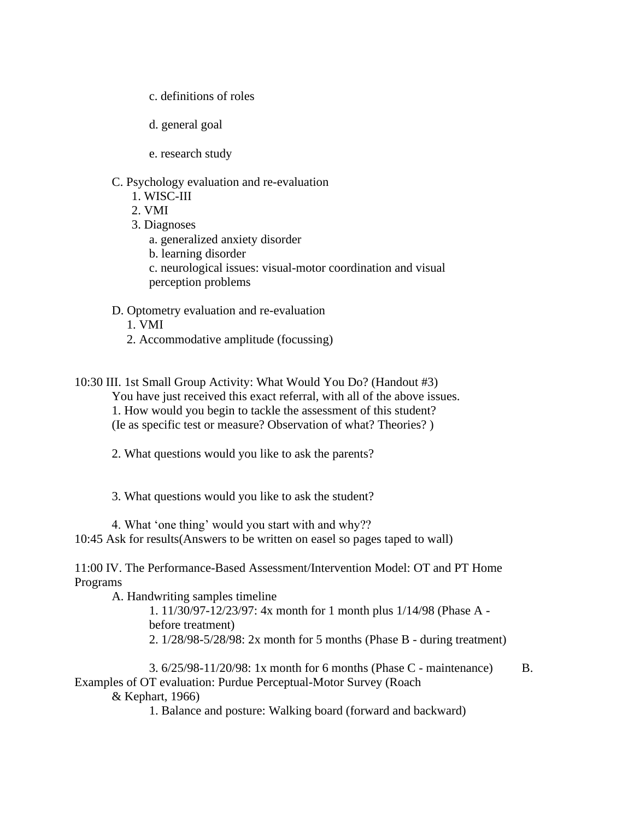- c. definitions of roles
- d. general goal
- e. research study
- C. Psychology evaluation and re-evaluation
	- 1. WISC-III
	- 2. VMI
	- 3. Diagnoses
		- a. generalized anxiety disorder
		- b. learning disorder
		- c. neurological issues: visual-motor coordination and visual perception problems
- D. Optometry evaluation and re-evaluation
	- 1. VMI
	- 2. Accommodative amplitude (focussing)
- 10:30 III. 1st Small Group Activity: What Would You Do? (Handout #3) You have just received this exact referral, with all of the above issues. 1. How would you begin to tackle the assessment of this student? (Ie as specific test or measure? Observation of what? Theories? )
	- 2. What questions would you like to ask the parents?
	- 3. What questions would you like to ask the student?
	- 4. What 'one thing' would you start with and why??
- 10:45 Ask for results(Answers to be written on easel so pages taped to wall)
- 11:00 IV. The Performance-Based Assessment/Intervention Model: OT and PT Home Programs
	- A. Handwriting samples timeline
		- 1. 11/30/97-12/23/97: 4x month for 1 month plus 1/14/98 (Phase A before treatment) 2. 1/28/98-5/28/98: 2x month for 5 months (Phase B - during treatment)
- 3. 6/25/98-11/20/98: 1x month for 6 months (Phase C maintenance) B. Examples of OT evaluation: Purdue Perceptual-Motor Survey (Roach
	- & Kephart, 1966)
		- 1. Balance and posture: Walking board (forward and backward)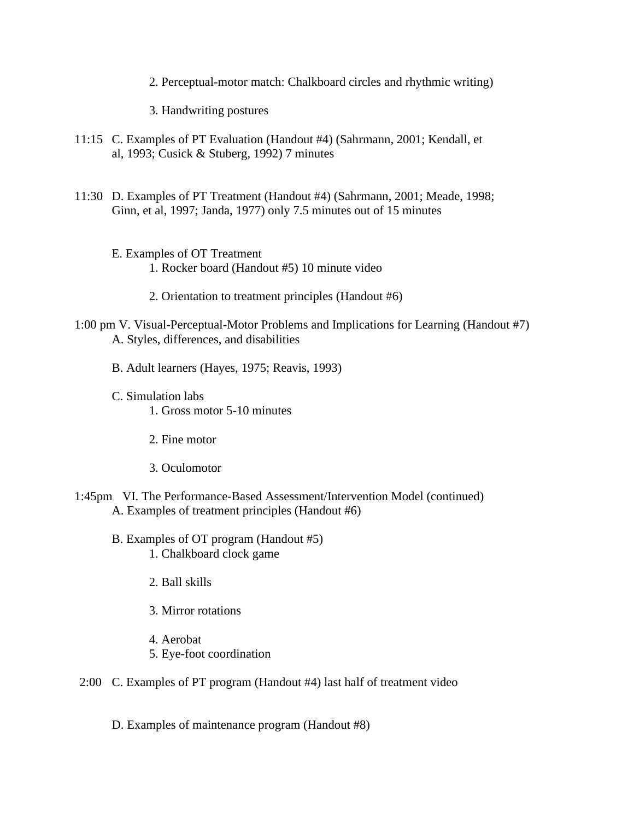2. Perceptual-motor match: Chalkboard circles and rhythmic writing)

3. Handwriting postures

- 11:15 C. Examples of PT Evaluation (Handout #4) (Sahrmann, 2001; Kendall, et al, 1993; Cusick & Stuberg, 1992) 7 minutes
- 11:30 D. Examples of PT Treatment (Handout #4) (Sahrmann, 2001; Meade, 1998; Ginn, et al, 1997; Janda, 1977) only 7.5 minutes out of 15 minutes
	- E. Examples of OT Treatment 1. Rocker board (Handout #5) 10 minute video
		- 2. Orientation to treatment principles (Handout #6)
- 1:00 pm V. Visual-Perceptual-Motor Problems and Implications for Learning (Handout #7) A. Styles, differences, and disabilities
	- B. Adult learners (Hayes, 1975; Reavis, 1993)
	- C. Simulation labs
		- 1. Gross motor 5-10 minutes
		- 2. Fine motor
		- 3. Oculomotor
- 1:45pm VI. The Performance-Based Assessment/Intervention Model (continued) A. Examples of treatment principles (Handout #6)
	- B. Examples of OT program (Handout #5) 1. Chalkboard clock game
		- 2. Ball skills
		- 3. Mirror rotations
		- 4. Aerobat
		- 5. Eye-foot coordination
- 2:00 C. Examples of PT program (Handout #4) last half of treatment video
	- D. Examples of maintenance program (Handout #8)